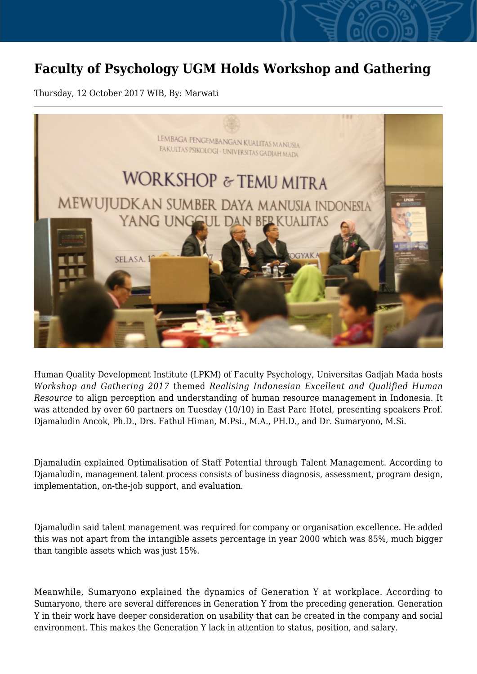## **Faculty of Psychology UGM Holds Workshop and Gathering**

Thursday, 12 October 2017 WIB, By: Marwati



Human Quality Development Institute (LPKM) of Faculty Psychology, Universitas Gadjah Mada hosts *Workshop and Gathering 2017* themed *Realising Indonesian Excellent and Qualified Human Resource* to align perception and understanding of human resource management in Indonesia. It was attended by over 60 partners on Tuesday (10/10) in East Parc Hotel, presenting speakers Prof. Djamaludin Ancok, Ph.D., Drs. Fathul Himan, M.Psi., M.A., PH.D., and Dr. Sumaryono, M.Si.

Djamaludin explained Optimalisation of Staff Potential through Talent Management. According to Djamaludin, management talent process consists of business diagnosis, assessment, program design, implementation, on-the-job support, and evaluation.

Djamaludin said talent management was required for company or organisation excellence. He added this was not apart from the intangible assets percentage in year 2000 which was 85%, much bigger than tangible assets which was just 15%.

Meanwhile, Sumaryono explained the dynamics of Generation Y at workplace. According to Sumaryono, there are several differences in Generation Y from the preceding generation. Generation Y in their work have deeper consideration on usability that can be created in the company and social environment. This makes the Generation Y lack in attention to status, position, and salary.